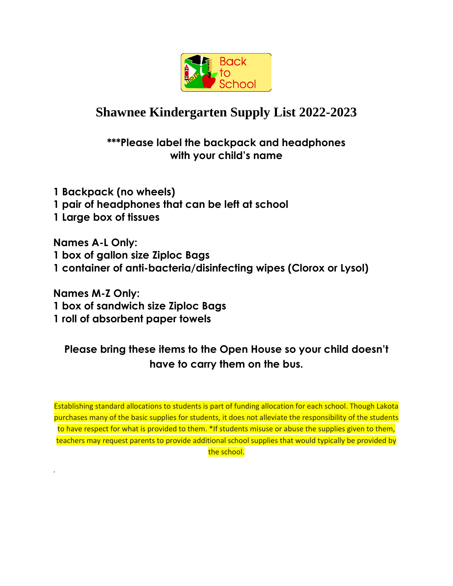

## **Shawnee Kindergarten Supply List 2022-2023**

### **\*\*\*Please label the backpack and headphones with your child's name**

**1 Backpack (no wheels) 1 pair of headphones that can be left at school 1 Large box of tissues**

**Names A-L Only: 1 box of gallon size Ziploc Bags 1 container of anti-bacteria/disinfecting wipes (Clorox or Lysol)**

**Names M-Z Only: 1 box of sandwich size Ziploc Bags 1 roll of absorbent paper towels**

.

### **Please bring these items to the Open House so your child doesn't have to carry them on the bus.**

Establishing standard allocations to students is part of funding allocation for each school. Though Lakota purchases many of the basic supplies for students, it does not alleviate the responsibility of the students to have respect for what is provided to them. \*If students misuse or abuse the supplies given to them, teachers may request parents to provide additional school supplies that would typically be provided by the school.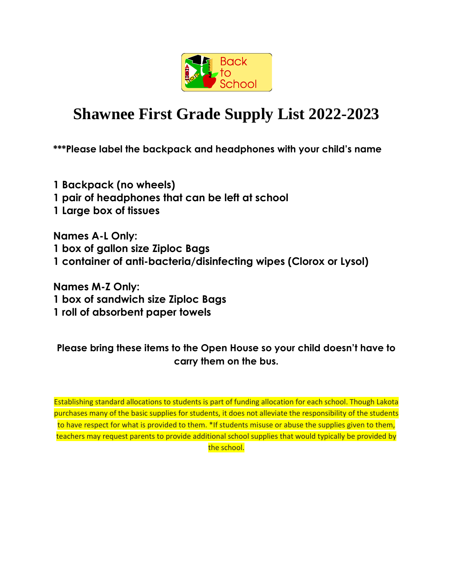

# **Shawnee First Grade Supply List 2022-2023**

**\*\*\*Please label the backpack and headphones with your child's name**

**1 Backpack (no wheels) 1 pair of headphones that can be left at school 1 Large box of tissues**

**Names A-L Only: 1 box of gallon size Ziploc Bags 1 container of anti-bacteria/disinfecting wipes (Clorox or Lysol)**

**Names M-Z Only: 1 box of sandwich size Ziploc Bags 1 roll of absorbent paper towels**

#### **Please bring these items to the Open House so your child doesn't have to carry them on the bus.**

Establishing standard allocations to students is part of funding allocation for each school. Though Lakota purchases many of the basic supplies for students, it does not alleviate the responsibility of the students to have respect for what is provided to them. \*If students misuse or abuse the supplies given to them, teachers may request parents to provide additional school supplies that would typically be provided by the school.